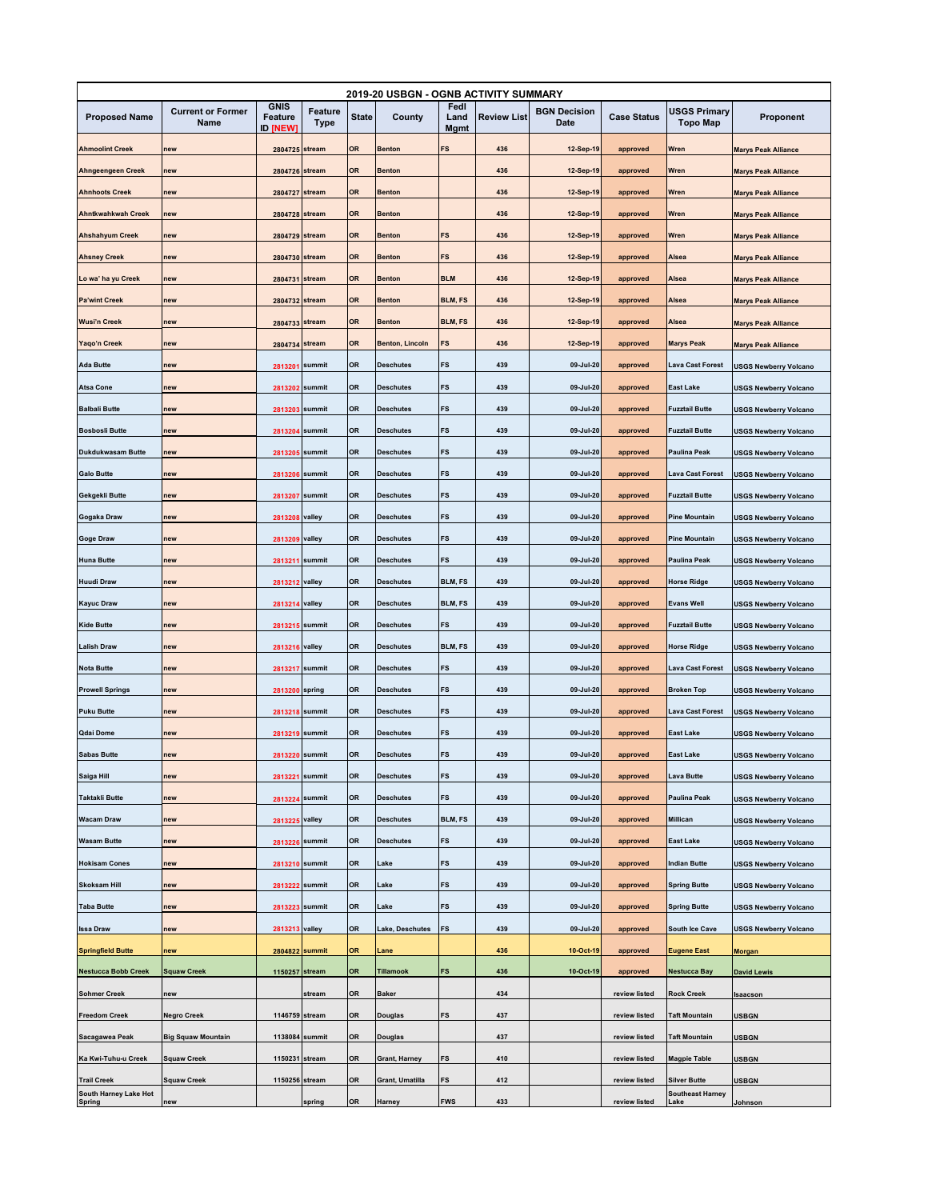| 2019-20 USBGN - OGNB ACTIVITY SUMMARY       |                                  |                                           |                 |           |                        |                             |                    |                             |                    |                                                |                              |
|---------------------------------------------|----------------------------------|-------------------------------------------|-----------------|-----------|------------------------|-----------------------------|--------------------|-----------------------------|--------------------|------------------------------------------------|------------------------------|
| <b>Proposed Name</b>                        | <b>Current or Former</b><br>Name | <b>GNIS</b><br>Feature<br><b>ID [NEW]</b> | Feature<br>Type | State     | County                 | Fedl<br>Land<br><b>Mgmt</b> | <b>Review List</b> | <b>BGN Decision</b><br>Date | <b>Case Status</b> | <b>USGS Primary</b><br><b>Topo Map</b>         | Proponent                    |
| <b>Ahmoolint Creek</b>                      | new                              | 2804725 stream                            |                 | OR        | <b>Benton</b>          | FS                          | 436                | 12-Sep-19                   | approved           | Wren                                           | <b>Marys Peak Alliance</b>   |
| Ahngeengeen Creek                           | new                              | 2804726 stream                            |                 | <b>OR</b> | <b>Benton</b>          |                             | 436                | 12-Sep-19                   | approved           | Wren                                           | <b>Marys Peak Alliance</b>   |
| <b>Ahnhoots Creek</b>                       | new                              | 2804727 stream                            |                 | OR        | <b>Benton</b>          |                             | 436                | 12-Sep-19                   | approved           | Wren                                           | <b>Marys Peak Alliance</b>   |
| Ahntkwahkwah Creek                          | new                              | 2804728 stream                            |                 | <b>OR</b> | <b>Benton</b>          |                             | 436                | 12-Sep-19                   | approved           | Wren                                           | <b>Marys Peak Alliance</b>   |
| <b>Ahshahyum Creek</b>                      | new                              | 2804729 stream                            |                 | OR        | <b>Benton</b>          | FS                          | 436                | 12-Sep-19                   | approved           | Wren                                           | <b>Marys Peak Alliance</b>   |
| <b>Ahsney Creek</b>                         | new                              | 2804730 stream                            |                 | OR        | <b>Benton</b>          | FS                          | 436                | 12-Sep-19                   | approved           | Alsea                                          | <b>Marys Peak Alliance</b>   |
| Lo wa' ha yu Creek                          | new                              | 2804731 stream                            |                 | <b>OR</b> | <b>Benton</b>          | <b>BLM</b>                  | 436                | 12-Sep-19                   | approved           | Alsea                                          |                              |
| <b>Pa'wint Creek</b>                        | new                              | 2804732 stream                            |                 | OR        | <b>Benton</b>          | BLM, FS                     | 436                | 12-Sep-19                   |                    | Alsea                                          | <b>Marys Peak Alliance</b>   |
|                                             |                                  |                                           |                 |           |                        |                             |                    |                             | approved           |                                                | <b>Marys Peak Alliance</b>   |
| <b>Wusi'n Creek</b>                         | new                              | 2804733                                   | stream          | <b>OR</b> | <b>Benton</b>          | <b>BLM, FS</b>              | 436                | 12-Sep-19                   | approved           | Alsea                                          | <b>Marys Peak Alliance</b>   |
| Yaqo'n Creek                                | new                              | 2804734 stream                            |                 | OR        | <b>Benton, Lincoln</b> | FS                          | 436                | 12-Sep-19                   | approved           | <b>Marys Peak</b>                              | <b>Marys Peak Alliance</b>   |
| <b>Ada Butte</b>                            | new                              |                                           | 2813201 summit  | OR        | <b>Deschutes</b>       | FS                          | 439                | 09-Jul-20                   | approved           | Lava Cast Forest                               | <b>USGS Newberry Volcano</b> |
| <b>Atsa Cone</b>                            | new                              |                                           | 2813202 summit  | OR        | <b>Deschutes</b>       | FS                          | 439                | 09-Jul-20                   | approved           | East Lake                                      | <b>USGS Newberry Volcano</b> |
| <b>Balbali Butte</b>                        | new                              |                                           | 2813203 summit  | <b>OR</b> | <b>Deschutes</b>       | FS                          | 439                | 09-Jul-20                   | approved           | <b>Fuzztail Butte</b>                          | <b>USGS Newberry Volcano</b> |
| <b>Bosbosli Butte</b>                       | new                              | 2813204 summit                            |                 | OR        | <b>Deschutes</b>       | FS                          | 439                | 09-Jul-20                   | approved           | <b>Fuzztail Butte</b>                          | <b>USGS Newberry Volcano</b> |
| <b>Dukdukwasam Butte</b>                    | new                              |                                           | 2813205 summit  | OR        | <b>Deschutes</b>       | FS                          | 439                | 09-Jul-20                   | approved           | Paulina Peak                                   | <b>USGS Newberry Volcano</b> |
| <b>Galo Butte</b>                           | new                              |                                           | 2813206 summit  | OR        | <b>Deschutes</b>       | FS                          | 439                | 09-Jul-20                   | approved           | <b>Lava Cast Forest</b>                        | <b>USGS Newberry Volcano</b> |
| Gekgekli Butte                              | new                              | 2813207                                   | summit          | <b>OR</b> | <b>Deschutes</b>       | FS                          | 439                | 09-Jul-20                   | approved           | <b>Fuzztail Butte</b>                          | <b>USGS Newberry Volcano</b> |
| Gogaka Draw                                 | new                              | 2813208 valley                            |                 | OR        | <b>Deschutes</b>       | FS                          | 439                | 09-Jul-20                   | approved           | <b>Pine Mountain</b>                           | <b>USGS Newberry Volcano</b> |
| <b>Goge Draw</b>                            | new                              | 2813209 valley                            |                 | OR        | <b>Deschutes</b>       | FS                          | 439                | 09-Jul-20                   | approved           | <b>Pine Mountain</b>                           | <b>USGS Newberry Volcano</b> |
| <b>Huna Butte</b>                           | new                              | 2813211                                   | summit          | OR        | <b>Deschutes</b>       | FS                          | 439                | 09-Jul-20                   | approved           | Paulina Peak                                   | <b>USGS Newberry Volcano</b> |
| <b>Huudi Draw</b>                           | new                              | 2813212 valley                            |                 | <b>OR</b> | <b>Deschutes</b>       | <b>BLM, FS</b>              | 439                | 09-Jul-20                   | approved           | <b>Horse Ridge</b>                             | <b>USGS Newberry Volcano</b> |
| <b>Kayuc Draw</b>                           | new                              | 2813214 valley                            |                 | <b>OR</b> | <b>Deschutes</b>       | <b>BLM, FS</b>              | 439                | 09-Jul-20                   | approved           | <b>Evans Well</b>                              | <b>USGS Newberry Volcano</b> |
| <b>Kide Butte</b>                           | new                              | 2813215 summit                            |                 | <b>OR</b> | <b>Deschutes</b>       | FS                          | 439                | 09-Jul-20                   | approved           | <b>Fuzztail Butte</b>                          | <b>USGS Newberry Volcano</b> |
| <b>Lalish Draw</b>                          | new                              | 2813216 valley                            |                 | <b>OR</b> | <b>Deschutes</b>       | <b>BLM, FS</b>              | 439                | 09-Jul-20                   | approved           | <b>Horse Ridge</b>                             | <b>USGS Newberry Volcano</b> |
| <b>Nota Butte</b>                           | new                              | 2813217                                   | summit          | <b>OR</b> | <b>Deschutes</b>       | FS                          | 439                | 09-Jul-20                   | approved           | <b>Lava Cast Forest</b>                        | <b>USGS Newberry Volcano</b> |
| <b>Prowell Springs</b>                      | new                              | 2813200 spring                            |                 | <b>OR</b> | <b>Deschutes</b>       | FS                          | 439                | 09-Jul-20                   | approved           | <b>Broken Top</b>                              | <b>USGS Newberry Volcano</b> |
| <b>Puku Butte</b>                           | new                              |                                           | 2813218 summit  | OR        | <b>Deschutes</b>       | FS                          | 439                | 09-Jul-20                   | approved           | Lava Cast Forest                               | <b>USGS Newberry Volcano</b> |
| Qdai Dome                                   | new                              |                                           | 2813219 summit  | <b>OR</b> | <b>Deschutes</b>       | FS                          | 439                | 09-Jul-20                   | approved           | East Lake                                      | <b>USGS Newberry Volcano</b> |
| <b>Sabas Butte</b>                          | new                              |                                           | 2813220 summit  | OR        | <b>Deschutes</b>       | FS                          | 439                | $09 -$ Jul-20               | approved           | East Lake                                      | <b>USGS Newberry Volcano</b> |
| Saiga Hill                                  | new                              |                                           | 2813221 summit  | OR        | <b>Deschutes</b>       | FS                          | 439                | 09-Jul-20                   | approved           | Lava Butte                                     | <b>USGS Newberry Volcano</b> |
| <b>Taktakli Butte</b>                       | new                              |                                           | 2813224 summit  | <b>OR</b> | <b>Deschutes</b>       | FS                          | 439                | 09-Jul-20                   | approved           | <b>Paulina Peak</b>                            | <b>USGS Newberry Volcano</b> |
| <b>Wacam Draw</b>                           | new                              | 2813225 valley                            |                 | OR        | <b>Deschutes</b>       | <b>BLM, FS</b>              | 439                | 09-Jul-20                   | approved           | Millican                                       | <b>USGS Newberry Volcano</b> |
| <b>Wasam Butte</b>                          | new                              |                                           | 2813226 summit  | OR        | <b>Deschutes</b>       | FS                          | 439                | 09-Jul-20                   | approved           | <b>East Lake</b>                               | <b>USGS Newberry Volcano</b> |
| <b>Hokisam Cones</b>                        | new                              |                                           | 2813210 summit  | <b>OR</b> | Lake                   | FS                          | 439                | 09-Jul-20                   | approved           | <b>Indian Butte</b>                            | <b>USGS Newberry Volcano</b> |
| <b>Skoksam Hill</b>                         | new                              | 2813222 summit                            |                 | <b>OR</b> | Lake                   | FS                          | 439                | 09-Jul-20                   | approved           | <b>Spring Butte</b>                            | <b>USGS Newberry Volcano</b> |
| <b>Taba Butte</b>                           | new                              |                                           | 2813223 summit  | <b>OR</b> | Lake                   | FS                          | 439                | 09-Jul-20                   | approved           | <b>Spring Butte</b>                            | <b>USGS Newberry Volcano</b> |
| <b>Issa Draw</b>                            | new                              | 2813213 valley                            |                 | <b>OR</b> | Lake, Deschutes        | FS                          | 439                | 09-Jul-20                   | approved           | South Ice Cave                                 | <b>USGS Newberry Volcano</b> |
| <b>Springfield Butte</b>                    | new                              |                                           | 2804822 summit  | OR        | Lane                   |                             | 436                | 10-Oct-19                   | approved           | <b>Eugene East</b>                             | Morgan                       |
| <b>Nestucca Bobb Creek</b>                  | <b>Squaw Creek</b>               | 1150257 stream                            |                 | OR        | <b>Tillamook</b>       | FS                          | 436                | 10-Oct-19                   | approved           | <b>Nestucca Bay</b>                            | <b>David Lewis</b>           |
|                                             |                                  |                                           |                 |           |                        |                             |                    |                             |                    |                                                |                              |
| <b>Sohmer Creek</b>                         | new                              |                                           | stream          | OR        | <b>Baker</b>           |                             | 434                |                             | review listed      | <b>Rock Creek</b>                              | Isaacson                     |
| <b>Freedom Creek</b>                        | <b>Negro Creek</b>               | 1146759 stream                            |                 | OR        | Douglas                | FS                          | 437                |                             | review listed      | <b>Taft Mountain</b>                           | <b>USBGN</b>                 |
| Sacagawea Peak                              | <b>Big Squaw Mountain</b>        |                                           | 1138084 summit  | <b>OR</b> | Douglas                |                             | 437                |                             | review listed      | <b>Taft Mountain</b>                           | <b>USBGN</b>                 |
| Ka Kwi-Tuhu-u Creek                         | <b>Squaw Creek</b>               | 1150231 stream                            |                 | OR        | Grant, Harney          | FS                          | 410                |                             | review listed      | <b>Magpie Table</b>                            | <b>USBGN</b>                 |
| <b>Trail Creek</b><br>South Harney Lake Hot | <b>Squaw Creek</b>               | 1150256 stream                            |                 | <b>OR</b> | Grant, Umatilla        | FS                          | 412                |                             | review listed      | <b>Silver Butte</b><br><b>Southeast Harney</b> | <b>USBGN</b>                 |
| <b>Spring</b>                               | new                              |                                           | spring          | OR        | Harney                 | <b>FWS</b>                  | 433                |                             | review listed      | Lake                                           | Johnson                      |